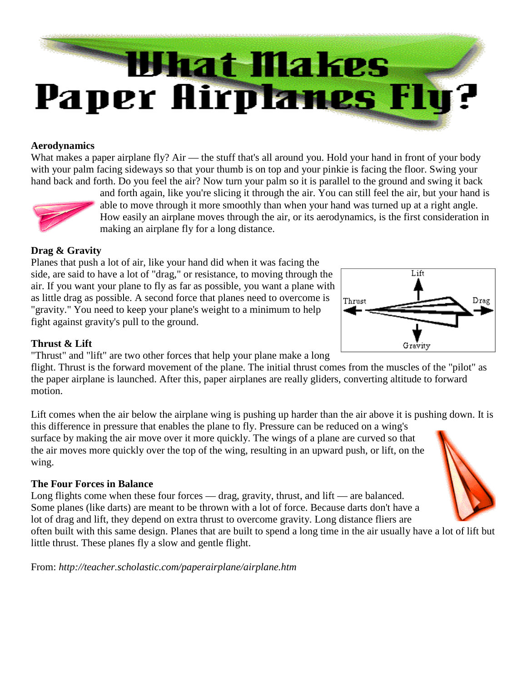

#### **Aerodynamics**

What makes a paper airplane fly? Air — the stuff that's all around you. Hold your hand in front of your body with your palm facing sideways so that your thumb is on top and your pinkie is facing the floor. Swing your hand back and forth. Do you feel the air? Now turn your palm so it is parallel to the ground and swing it back



and forth again, like you're slicing it through the air. You can still feel the air, but your hand is able to move through it more smoothly than when your hand was turned up at a right angle. How easily an airplane moves through the air, or its aerodynamics, is the first consideration in making an airplane fly for a long distance.

## **Drag & Gravity**

Planes that push a lot of air, like your hand did when it was facing the side, are said to have a lot of "drag," or resistance, to moving through the air. If you want your plane to fly as far as possible, you want a plane with as little drag as possible. A second force that planes need to overcome is "gravity." You need to keep your plane's weight to a minimum to help fight against gravity's pull to the ground.



#### **Thrust & Lift**

"Thrust" and "lift" are two other forces that help your plane make a long

flight. Thrust is the forward movement of the plane. The initial thrust comes from the muscles of the "pilot" as the paper airplane is launched. After this, paper airplanes are really gliders, converting altitude to forward motion.

Lift comes when the air below the airplane wing is pushing up harder than the air above it is pushing down. It is this difference in pressure that enables the plane to fly. Pressure can be reduced on a wing's surface by making the air move over it more quickly. The wings of a plane are curved so that the air moves more quickly over the top of the wing, resulting in an upward push, or lift, on the wing.

## **The Four Forces in Balance**

Long flights come when these four forces — drag, gravity, thrust, and lift — are balanced. Some planes (like darts) are meant to be thrown with a lot of force. Because darts don't have a lot of drag and lift, they depend on extra thrust to overcome gravity. Long distance fliers are

often built with this same design. Planes that are built to spend a long time in the air usually have a lot of lift but little thrust. These planes fly a slow and gentle flight.

From: *http://teacher.scholastic.com/paperairplane/airplane.htm*

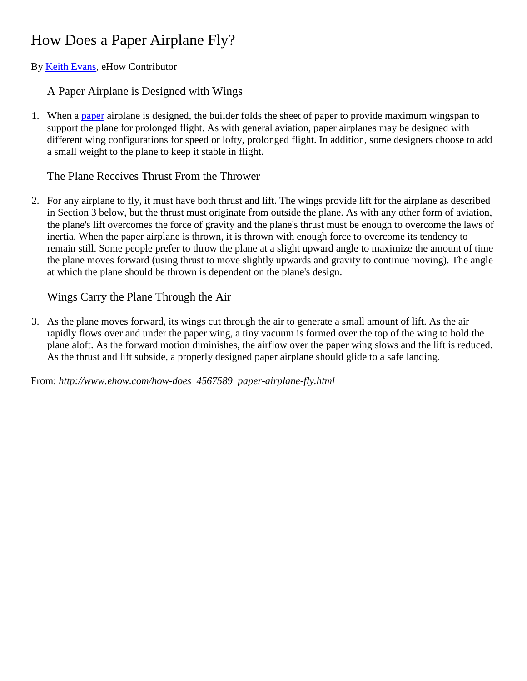# How Does a Paper Airplane Fly?

By **Keith Evans**, eHow Contributor

A Paper Airplane is Designed with Wings

1. When a [paper](http://www.ehow.com/how-does_4567589_paper-airplane-fly.html) airplane is designed, the builder folds the sheet of paper to provide maximum wingspan to support the plane for prolonged flight. As with general aviation, paper airplanes may be designed with different wing configurations for speed or lofty, prolonged flight. In addition, some designers choose to add a small weight to the plane to keep it stable in flight.

# The Plane Receives Thrust From the Thrower

2. For any airplane to fly, it must have both thrust and lift. The wings provide lift for the airplane as described in Section 3 below, but the thrust must originate from outside the plane. As with any other form of aviation, the plane's lift overcomes the force of gravity and the plane's thrust must be enough to overcome the laws of inertia. When the paper airplane is thrown, it is thrown with enough force to overcome its tendency to remain still. Some people prefer to throw the plane at a slight upward angle to maximize the amount of time the plane moves forward (using thrust to move slightly upwards and gravity to continue moving). The angle at which the plane should be thrown is dependent on the plane's design.

# Wings Carry the Plane Through the Air

3. As the plane moves forward, its wings cut through the air to generate a small amount of lift. As the air rapidly flows over and under the paper wing, a tiny vacuum is formed over the top of the wing to hold the plane aloft. As the forward motion diminishes, the airflow over the paper wing slows and the lift is reduced. As the thrust and lift subside, a properly designed paper airplane should glide to a safe landing.

From: *http://www.ehow.com/how-does\_4567589\_paper-airplane-fly.html*